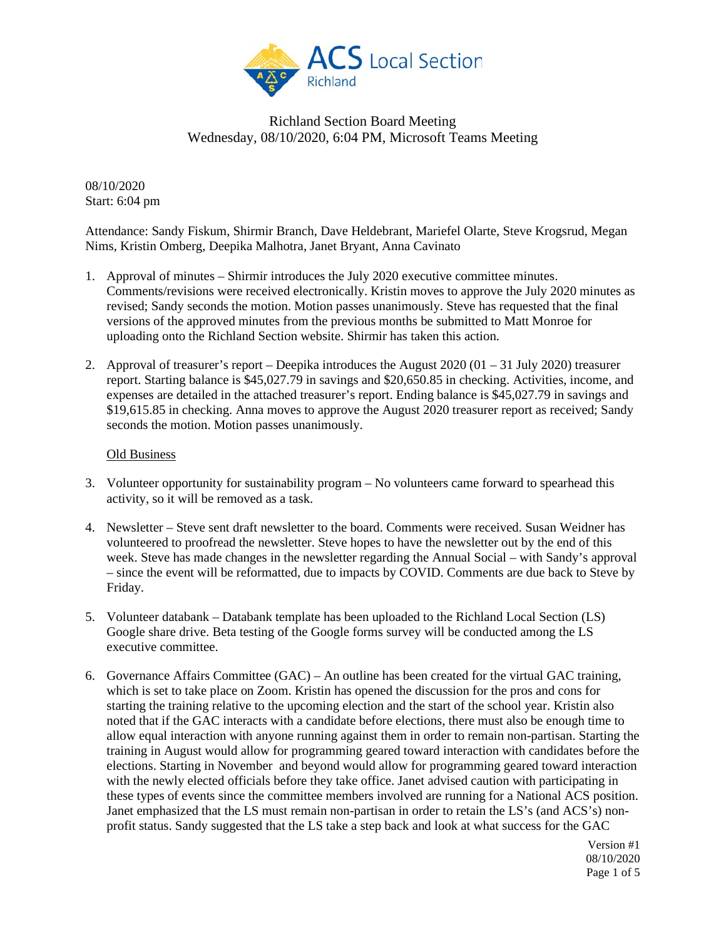

08/10/2020 Start: 6:04 pm

Attendance: Sandy Fiskum, Shirmir Branch, Dave Heldebrant, Mariefel Olarte, Steve Krogsrud, Megan Nims, Kristin Omberg, Deepika Malhotra, Janet Bryant, Anna Cavinato

- 1. Approval of minutes Shirmir introduces the July 2020 executive committee minutes. Comments/revisions were received electronically. Kristin moves to approve the July 2020 minutes as revised; Sandy seconds the motion. Motion passes unanimously. Steve has requested that the final versions of the approved minutes from the previous months be submitted to Matt Monroe for uploading onto the Richland Section website. Shirmir has taken this action.
- 2. Approval of treasurer's report Deepika introduces the August 2020 (01 31 July 2020) treasurer report. Starting balance is \$45,027.79 in savings and \$20,650.85 in checking. Activities, income, and expenses are detailed in the attached treasurer's report. Ending balance is \$45,027.79 in savings and \$19,615.85 in checking. Anna moves to approve the August 2020 treasurer report as received; Sandy seconds the motion. Motion passes unanimously.

#### Old Business

- 3. Volunteer opportunity for sustainability program No volunteers came forward to spearhead this activity, so it will be removed as a task.
- 4. Newsletter Steve sent draft newsletter to the board. Comments were received. Susan Weidner has volunteered to proofread the newsletter. Steve hopes to have the newsletter out by the end of this week. Steve has made changes in the newsletter regarding the Annual Social – with Sandy's approval – since the event will be reformatted, due to impacts by COVID. Comments are due back to Steve by Friday.
- 5. Volunteer databank Databank template has been uploaded to the Richland Local Section (LS) Google share drive. Beta testing of the Google forms survey will be conducted among the LS executive committee.
- 6. Governance Affairs Committee (GAC) An outline has been created for the virtual GAC training, which is set to take place on Zoom. Kristin has opened the discussion for the pros and cons for starting the training relative to the upcoming election and the start of the school year. Kristin also noted that if the GAC interacts with a candidate before elections, there must also be enough time to allow equal interaction with anyone running against them in order to remain non-partisan. Starting the training in August would allow for programming geared toward interaction with candidates before the elections. Starting in November and beyond would allow for programming geared toward interaction with the newly elected officials before they take office. Janet advised caution with participating in these types of events since the committee members involved are running for a National ACS position. Janet emphasized that the LS must remain non-partisan in order to retain the LS's (and ACS's) nonprofit status. Sandy suggested that the LS take a step back and look at what success for the GAC

Version #1 08/10/2020 Page 1 of 5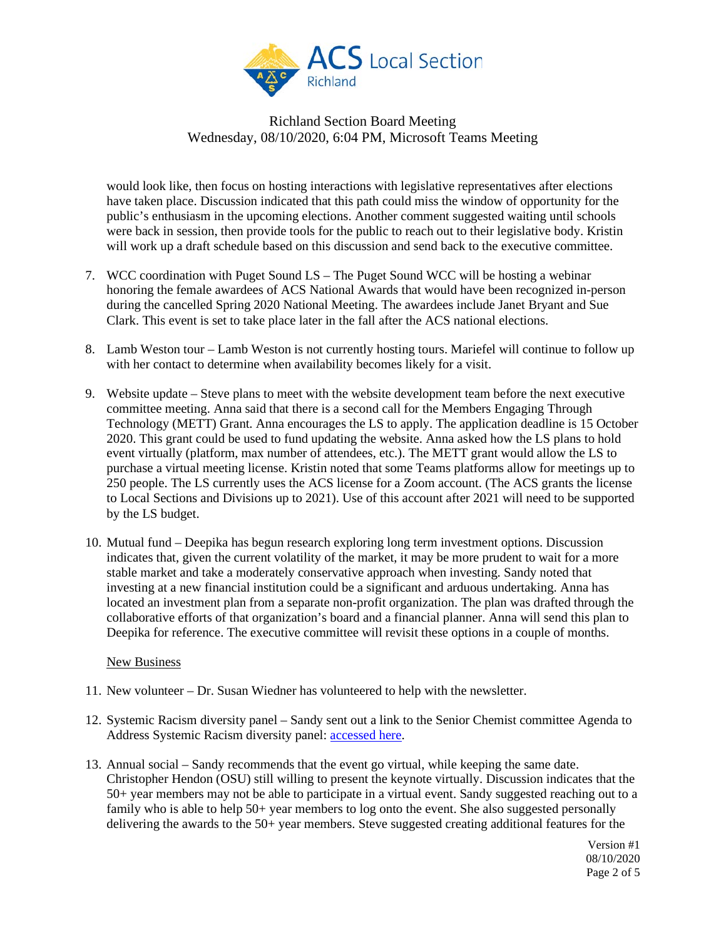

would look like, then focus on hosting interactions with legislative representatives after elections have taken place. Discussion indicated that this path could miss the window of opportunity for the public's enthusiasm in the upcoming elections. Another comment suggested waiting until schools were back in session, then provide tools for the public to reach out to their legislative body. Kristin will work up a draft schedule based on this discussion and send back to the executive committee.

- 7. WCC coordination with Puget Sound LS The Puget Sound WCC will be hosting a webinar honoring the female awardees of ACS National Awards that would have been recognized in-person during the cancelled Spring 2020 National Meeting. The awardees include Janet Bryant and Sue Clark. This event is set to take place later in the fall after the ACS national elections.
- 8. Lamb Weston tour Lamb Weston is not currently hosting tours. Mariefel will continue to follow up with her contact to determine when availability becomes likely for a visit.
- 9. Website update Steve plans to meet with the website development team before the next executive committee meeting. Anna said that there is a second call for the Members Engaging Through Technology (METT) Grant. Anna encourages the LS to apply. The application deadline is 15 October 2020. This grant could be used to fund updating the website. Anna asked how the LS plans to hold event virtually (platform, max number of attendees, etc.). The METT grant would allow the LS to purchase a virtual meeting license. Kristin noted that some Teams platforms allow for meetings up to 250 people. The LS currently uses the ACS license for a Zoom account. (The ACS grants the license to Local Sections and Divisions up to 2021). Use of this account after 2021 will need to be supported by the LS budget.
- 10. Mutual fund Deepika has begun research exploring long term investment options. Discussion indicates that, given the current volatility of the market, it may be more prudent to wait for a more stable market and take a moderately conservative approach when investing. Sandy noted that investing at a new financial institution could be a significant and arduous undertaking. Anna has located an investment plan from a separate non-profit organization. The plan was drafted through the collaborative efforts of that organization's board and a financial planner. Anna will send this plan to Deepika for reference. The executive committee will revisit these options in a couple of months.

#### New Business

- 11. New volunteer Dr. Susan Wiedner has volunteered to help with the newsletter.
- 12. Systemic Racism diversity panel Sandy sent out a link to the Senior Chemist committee Agenda to Address Systemic Racism diversity panel: [accessed here.](http://app.connect.discoveracs.org/e/er?s=341921710&lid=3817&elqTrackId=CD0EFDAB4A4C86860908C1D80FE387D6&elq=82b78ea9b341498ab98dbff7b20d22ef&elqaid=1601&elqat=1)
- 13. Annual social Sandy recommends that the event go virtual, while keeping the same date. Christopher Hendon (OSU) still willing to present the keynote virtually. Discussion indicates that the 50+ year members may not be able to participate in a virtual event. Sandy suggested reaching out to a family who is able to help 50+ year members to log onto the event. She also suggested personally delivering the awards to the 50+ year members. Steve suggested creating additional features for the

Version #1 08/10/2020 Page 2 of 5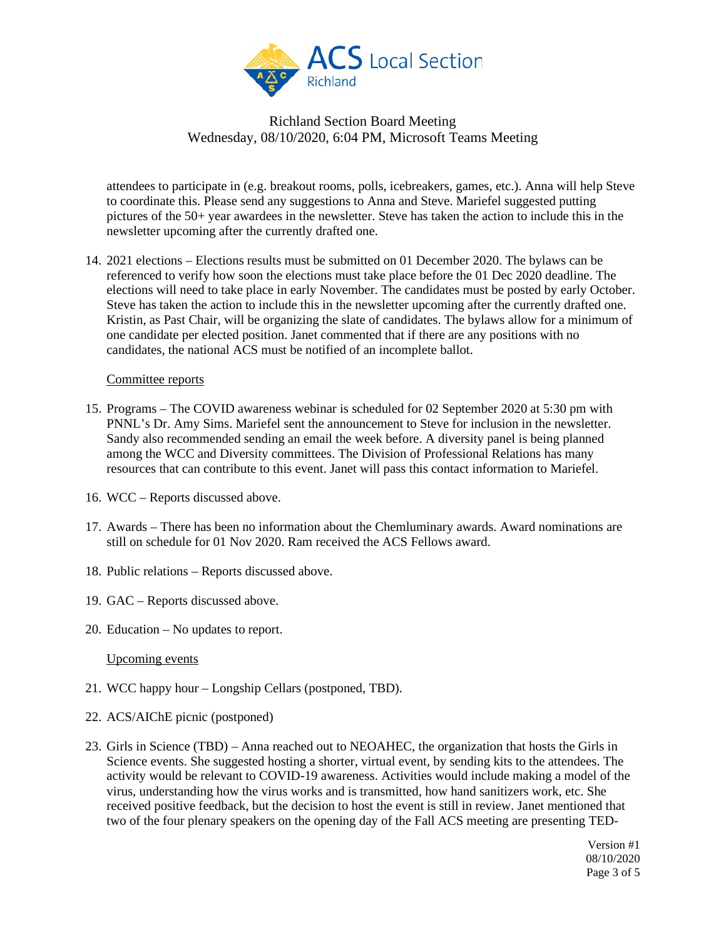

attendees to participate in (e.g. breakout rooms, polls, icebreakers, games, etc.). Anna will help Steve to coordinate this. Please send any suggestions to Anna and Steve. Mariefel suggested putting pictures of the 50+ year awardees in the newsletter. Steve has taken the action to include this in the newsletter upcoming after the currently drafted one.

14. 2021 elections – Elections results must be submitted on 01 December 2020. The bylaws can be referenced to verify how soon the elections must take place before the 01 Dec 2020 deadline. The elections will need to take place in early November. The candidates must be posted by early October. Steve has taken the action to include this in the newsletter upcoming after the currently drafted one. Kristin, as Past Chair, will be organizing the slate of candidates. The bylaws allow for a minimum of one candidate per elected position. Janet commented that if there are any positions with no candidates, the national ACS must be notified of an incomplete ballot.

#### Committee reports

- 15. Programs The COVID awareness webinar is scheduled for 02 September 2020 at 5:30 pm with PNNL's Dr. Amy Sims. Mariefel sent the announcement to Steve for inclusion in the newsletter. Sandy also recommended sending an email the week before. A diversity panel is being planned among the WCC and Diversity committees. The Division of Professional Relations has many resources that can contribute to this event. Janet will pass this contact information to Mariefel.
- 16. WCC Reports discussed above.
- 17. Awards There has been no information about the Chemluminary awards. Award nominations are still on schedule for 01 Nov 2020. Ram received the ACS Fellows award.
- 18. Public relations Reports discussed above.
- 19. GAC Reports discussed above.
- 20. Education No updates to report.

Upcoming events

- 21. WCC happy hour Longship Cellars (postponed, TBD).
- 22. ACS/AIChE picnic (postponed)
- 23. Girls in Science (TBD) Anna reached out to NEOAHEC, the organization that hosts the Girls in Science events. She suggested hosting a shorter, virtual event, by sending kits to the attendees. The activity would be relevant to COVID-19 awareness. Activities would include making a model of the virus, understanding how the virus works and is transmitted, how hand sanitizers work, etc. She received positive feedback, but the decision to host the event is still in review. Janet mentioned that two of the four plenary speakers on the opening day of the Fall ACS meeting are presenting TED-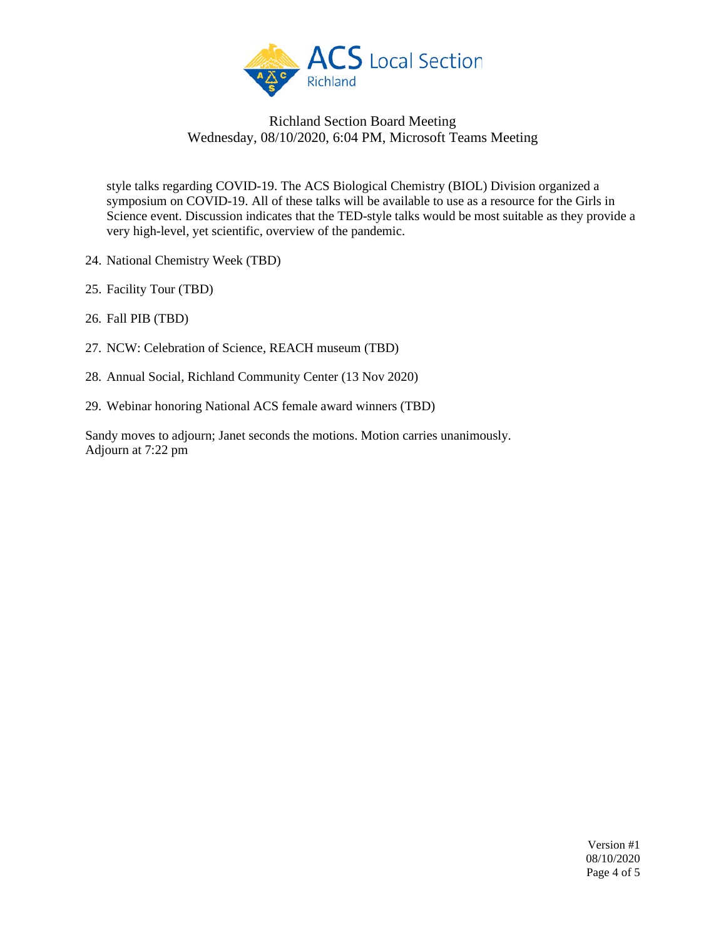

style talks regarding COVID-19. The ACS Biological Chemistry (BIOL) Division organized a symposium on COVID-19. All of these talks will be available to use as a resource for the Girls in Science event. Discussion indicates that the TED-style talks would be most suitable as they provide a very high-level, yet scientific, overview of the pandemic.

- 24. National Chemistry Week (TBD)
- 25. Facility Tour (TBD)
- 26. Fall PIB (TBD)
- 27. NCW: Celebration of Science, REACH museum (TBD)
- 28. Annual Social, Richland Community Center (13 Nov 2020)
- 29. Webinar honoring National ACS female award winners (TBD)

Sandy moves to adjourn; Janet seconds the motions. Motion carries unanimously. Adjourn at 7:22 pm